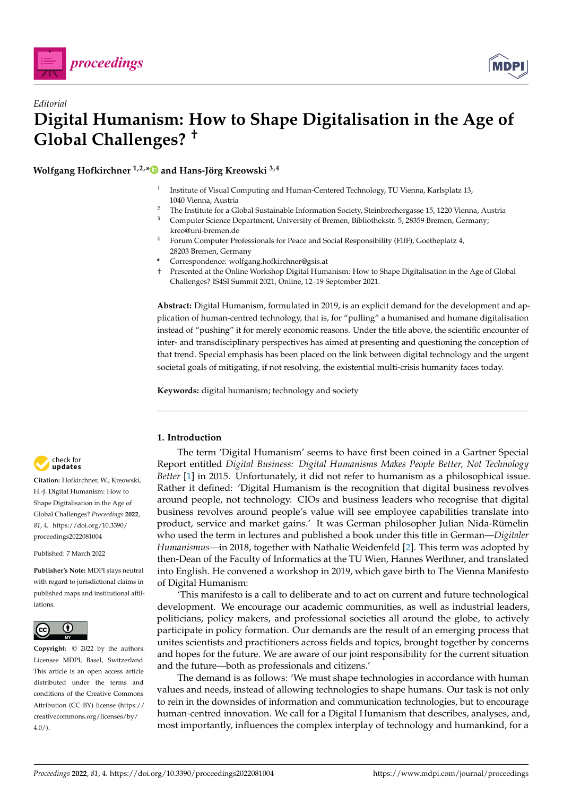



# *Editorial* **Digital Humanism: How to Shape Digitalisation in the Age of Global Challenges? †**

**Wolfgang Hofkirchner 1,2,[\\*](https://orcid.org/0000-0003-1267-3504) and Hans-Jörg Kreowski 3,4**

- 1 Institute of Visual Computing and Human-Centered Technology, TU Vienna, Karlsplatz 13, 1040 Vienna, Austria
- <sup>2</sup> The Institute for a Global Sustainable Information Society, Steinbrechergasse 15, 1220 Vienna, Austria<br><sup>3</sup> Computer Science Department University of Bremen, Bibliothekstr, 5, 28359 Bremen, Germany
- <sup>3</sup> Computer Science Department, University of Bremen, Bibliothekstr. 5, 28359 Bremen, Germany; kreo@uni-bremen.de
- <sup>4</sup> Forum Computer Professionals for Peace and Social Responsibility (FIfF), Goetheplatz 4, 28203 Bremen, Germany
- **\*** Correspondence: wolfgang.hofkirchner@gsis.at
- † Presented at the Online Workshop Digital Humanism: How to Shape Digitalisation in the Age of Global Challenges? IS4SI Summit 2021, Online, 12–19 September 2021.

**Abstract:** Digital Humanism, formulated in 2019, is an explicit demand for the development and application of human-centred technology, that is, for "pulling" a humanised and humane digitalisation instead of "pushing" it for merely economic reasons. Under the title above, the scientific encounter of inter- and transdisciplinary perspectives has aimed at presenting and questioning the conception of that trend. Special emphasis has been placed on the link between digital technology and the urgent societal goals of mitigating, if not resolving, the existential multi-crisis humanity faces today.

**Keywords:** digital humanism; technology and society

# **1. Introduction**

The term 'Digital Humanism' seems to have first been coined in a Gartner Special Report entitled *Digital Business: Digital Humanisms Makes People Better, Not Technology Better* [\[1\]](#page-4-0) in 2015. Unfortunately, it did not refer to humanism as a philosophical issue. Rather it defined: 'Digital Humanism is the recognition that digital business revolves around people, not technology. CIOs and business leaders who recognise that digital business revolves around people's value will see employee capabilities translate into product, service and market gains.' It was German philosopher Julian Nida-Rümelin who used the term in lectures and published a book under this title in German—*Digitaler Humanismus*—in 2018, together with Nathalie Weidenfeld [\[2\]](#page-4-1). This term was adopted by then-Dean of the Faculty of Informatics at the TU Wien, Hannes Werthner, and translated into English. He convened a workshop in 2019, which gave birth to The Vienna Manifesto of Digital Humanism:

'This manifesto is a call to deliberate and to act on current and future technological development. We encourage our academic communities, as well as industrial leaders, politicians, policy makers, and professional societies all around the globe, to actively participate in policy formation. Our demands are the result of an emerging process that unites scientists and practitioners across fields and topics, brought together by concerns and hopes for the future. We are aware of our joint responsibility for the current situation and the future—both as professionals and citizens.'

The demand is as follows: 'We must shape technologies in accordance with human values and needs, instead of allowing technologies to shape humans. Our task is not only to rein in the downsides of information and communication technologies, but to encourage human-centred innovation. We call for a Digital Humanism that describes, analyses, and, most importantly, influences the complex interplay of technology and humankind, for a



**Citation:** Hofkirchner, W.; Kreowski, H.-J. Digital Humanism: How to Shape Digitalisation in the Age of Global Challenges? *Proceedings* **2022**, *81*, 4. [https://doi.org/10.3390/](https://doi.org/10.3390/proceedings2022081004) [proceedings2022081004](https://doi.org/10.3390/proceedings2022081004)

Published: 7 March 2022

**Publisher's Note:** MDPI stays neutral with regard to jurisdictional claims in published maps and institutional affiliations.



4.0/). *[proceedings](https://www.mdpi.com/journal/proceedings)* **Copyright:** © 2022 by the authors. Licensee MDPI, Basel, Switzerland. This article is an open access article distributed under the terms and conditions of the Creative Commons Attribution (CC BY) license [\(https://](https://creativecommons.org/licenses/by/4.0/) [creativecommons.org/licenses/by/](https://creativecommons.org/licenses/by/4.0/)  $4.0/$ ).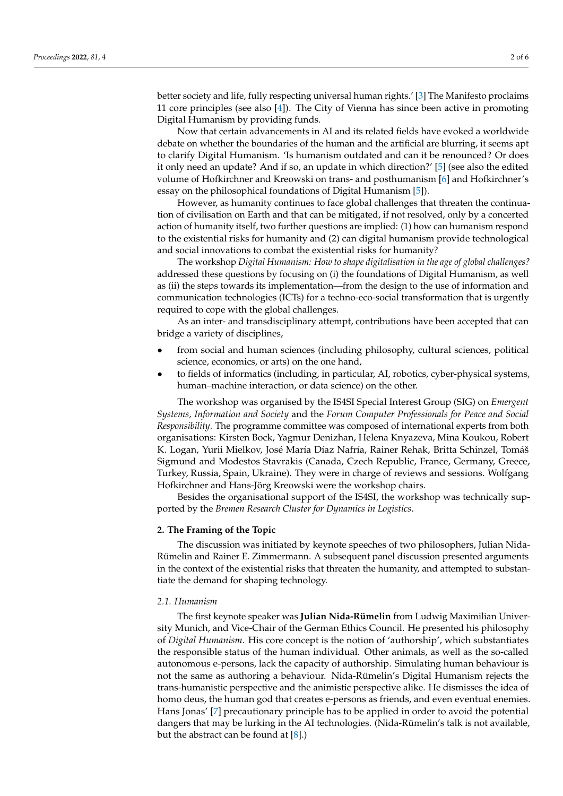better society and life, fully respecting universal human rights.' [\[3\]](#page-4-2) The Manifesto proclaims 11 core principles (see also [\[4\]](#page-4-3)). The City of Vienna has since been active in promoting Digital Humanism by providing funds.

Now that certain advancements in AI and its related fields have evoked a worldwide debate on whether the boundaries of the human and the artificial are blurring, it seems apt to clarify Digital Humanism. 'Is humanism outdated and can it be renounced? Or does it only need an update? And if so, an update in which direction?' [\[5\]](#page-4-4) (see also the edited volume of Hofkirchner and Kreowski on trans- and posthumanism [\[6\]](#page-4-5) and Hofkirchner's essay on the philosophical foundations of Digital Humanism [\[5\]](#page-4-4)).

However, as humanity continues to face global challenges that threaten the continuation of civilisation on Earth and that can be mitigated, if not resolved, only by a concerted action of humanity itself, two further questions are implied: (1) how can humanism respond to the existential risks for humanity and (2) can digital humanism provide technological and social innovations to combat the existential risks for humanity?

The workshop *Digital Humanism: How to shape digitalisation in the age of global challenges?* addressed these questions by focusing on (i) the foundations of Digital Humanism, as well as (ii) the steps towards its implementation—from the design to the use of information and communication technologies (ICTs) for a techno-eco-social transformation that is urgently required to cope with the global challenges.

As an inter- and transdisciplinary attempt, contributions have been accepted that can bridge a variety of disciplines,

- from social and human sciences (including philosophy, cultural sciences, political science, economics, or arts) on the one hand,
- to fields of informatics (including, in particular, AI, robotics, cyber-physical systems, human–machine interaction, or data science) on the other.

The workshop was organised by the IS4SI Special Interest Group (SIG) on *Emergent Systems, Information and Society* and the *Forum Computer Professionals for Peace and Social Responsibility*. The programme committee was composed of international experts from both organisations: Kirsten Bock, Yagmur Denizhan, Helena Knyazeva, Mina Koukou, Robert K. Logan, Yurii Mielkov, José María Díaz Nafría, Rainer Rehak, Britta Schinzel, Tomáš Sigmund and Modestos Stavrakis (Canada, Czech Republic, France, Germany, Greece, Turkey, Russia, Spain, Ukraine). They were in charge of reviews and sessions. Wolfgang Hofkirchner and Hans-Jörg Kreowski were the workshop chairs.

Besides the organisational support of the IS4SI, the workshop was technically supported by the *Bremen Research Cluster for Dynamics in Logistics*.

#### **2. The Framing of the Topic**

The discussion was initiated by keynote speeches of two philosophers, Julian Nida-Rümelin and Rainer E. Zimmermann. A subsequent panel discussion presented arguments in the context of the existential risks that threaten the humanity, and attempted to substantiate the demand for shaping technology.

#### *2.1. Humanism*

The first keynote speaker was **Julian Nida-Rümelin** from Ludwig Maximilian University Munich, and Vice-Chair of the German Ethics Council. He presented his philosophy of *Digital Humanism*. His core concept is the notion of 'authorship', which substantiates the responsible status of the human individual. Other animals, as well as the so-called autonomous e-persons, lack the capacity of authorship. Simulating human behaviour is not the same as authoring a behaviour. Nida-Rümelin's Digital Humanism rejects the trans-humanistic perspective and the animistic perspective alike. He dismisses the idea of homo deus, the human god that creates e-persons as friends, and even eventual enemies. Hans Jonas' [\[7\]](#page-4-6) precautionary principle has to be applied in order to avoid the potential dangers that may be lurking in the AI technologies. (Nida-Rümelin's talk is not available, but the abstract can be found at [\[8\]](#page-4-7).)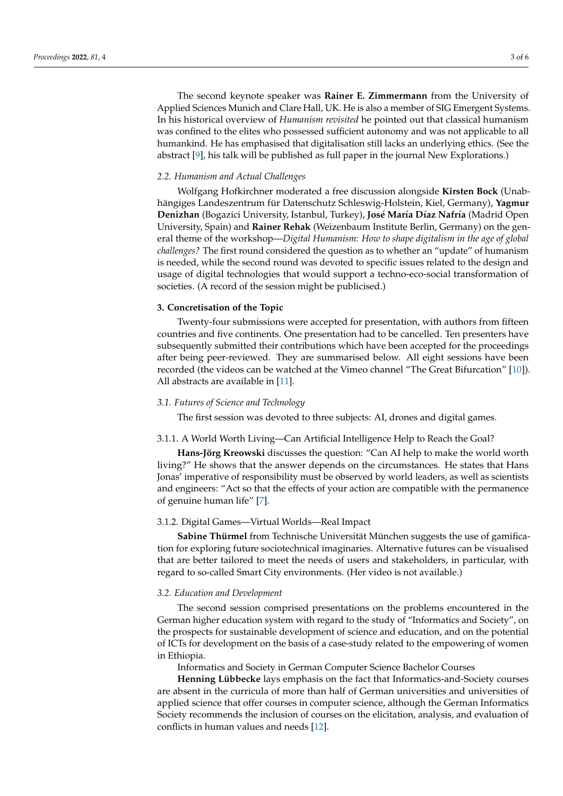The second keynote speaker was **Rainer E. Zimmermann** from the University of Applied Sciences Munich and Clare Hall, UK. He is also a member of SIG Emergent Systems. In his historical overview of *Humanism revisited* he pointed out that classical humanism was confined to the elites who possessed sufficient autonomy and was not applicable to all humankind. He has emphasised that digitalisation still lacks an underlying ethics. (See the abstract [\[9\]](#page-4-8), his talk will be published as full paper in the journal New Explorations.)

#### *2.2. Humanism and Actual Challenges*

Wolfgang Hofkirchner moderated a free discussion alongside **Kirsten Bock** (Unabhängiges Landeszentrum für Datenschutz Schleswig-Holstein, Kiel, Germany), **Yagmur Denizhan** (Bogazici University, Istanbul, Turkey), **José María Díaz Nafría** (Madrid Open University, Spain) and **Rainer Rehak** (Weizenbaum Institute Berlin, Germany) on the general theme of the workshop—*Digital Humanism: How to shape digitalism in the age of global challenges?* The first round considered the question as to whether an "update" of humanism is needed, while the second round was devoted to specific issues related to the design and usage of digital technologies that would support a techno-eco-social transformation of societies. (A record of the session might be publicised.)

# **3. Concretisation of the Topic**

Twenty-four submissions were accepted for presentation, with authors from fifteen countries and five continents. One presentation had to be cancelled. Ten presenters have subsequently submitted their contributions which have been accepted for the proceedings after being peer-reviewed. They are summarised below. All eight sessions have been recorded (the videos can be watched at the Vimeo channel "The Great Bifurcation" [\[10\]](#page-4-9)). All abstracts are available in [\[11\]](#page-4-10).

#### *3.1. Futures of Science and Technology*

The first session was devoted to three subjects: AI, drones and digital games.

### 3.1.1. A World Worth Living—Can Artificial Intelligence Help to Reach the Goal?

**Hans-Jörg Kreowski** discusses the question: "Can AI help to make the world worth living?" He shows that the answer depends on the circumstances. He states that Hans Jonas' imperative of responsibility must be observed by world leaders, as well as scientists and engineers: "Act so that the effects of your action are compatible with the permanence of genuine human life" [\[7\]](#page-4-6).

## 3.1.2. Digital Games—Virtual Worlds—Real Impact

**Sabine Thürmel** from Technische Universität München suggests the use of gamification for exploring future sociotechnical imaginaries. Alternative futures can be visualised that are better tailored to meet the needs of users and stakeholders, in particular, with regard to so-called Smart City environments. (Her video is not available.)

#### *3.2. Education and Development*

The second session comprised presentations on the problems encountered in the German higher education system with regard to the study of "Informatics and Society", on the prospects for sustainable development of science and education, and on the potential of ICTs for development on the basis of a case-study related to the empowering of women in Ethiopia.

Informatics and Society in German Computer Science Bachelor Courses

**Henning Lübbecke** lays emphasis on the fact that Informatics-and-Society courses are absent in the curricula of more than half of German universities and universities of applied science that offer courses in computer science, although the German Informatics Society recommends the inclusion of courses on the elicitation, analysis, and evaluation of conflicts in human values and needs [\[12\]](#page-5-0).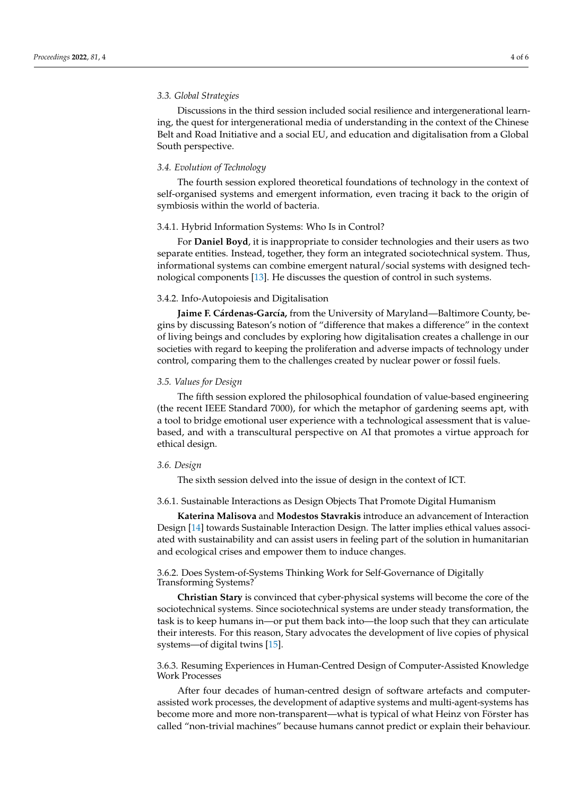#### *3.3. Global Strategies*

Discussions in the third session included social resilience and intergenerational learning, the quest for intergenerational media of understanding in the context of the Chinese Belt and Road Initiative and a social EU, and education and digitalisation from a Global South perspective.

#### *3.4. Evolution of Technology*

The fourth session explored theoretical foundations of technology in the context of self-organised systems and emergent information, even tracing it back to the origin of symbiosis within the world of bacteria.

#### 3.4.1. Hybrid Information Systems: Who Is in Control?

For **Daniel Boyd**, it is inappropriate to consider technologies and their users as two separate entities. Instead, together, they form an integrated sociotechnical system. Thus, informational systems can combine emergent natural/social systems with designed technological components [\[13\]](#page-5-1). He discusses the question of control in such systems.

#### 3.4.2. Info-Autopoiesis and Digitalisation

**Jaime F. Cárdenas-García,** from the University of Maryland—Baltimore County, begins by discussing Bateson's notion of "difference that makes a difference" in the context of living beings and concludes by exploring how digitalisation creates a challenge in our societies with regard to keeping the proliferation and adverse impacts of technology under control, comparing them to the challenges created by nuclear power or fossil fuels.

#### *3.5. Values for Design*

The fifth session explored the philosophical foundation of value-based engineering (the recent IEEE Standard 7000), for which the metaphor of gardening seems apt, with a tool to bridge emotional user experience with a technological assessment that is valuebased, and with a transcultural perspective on AI that promotes a virtue approach for ethical design.

#### *3.6. Design*

The sixth session delved into the issue of design in the context of ICT.

# 3.6.1. Sustainable Interactions as Design Objects That Promote Digital Humanism

**Katerina Malisova** and **Modestos Stavrakis** introduce an advancement of Interaction Design [\[14\]](#page-5-2) towards Sustainable Interaction Design. The latter implies ethical values associated with sustainability and can assist users in feeling part of the solution in humanitarian and ecological crises and empower them to induce changes.

# 3.6.2. Does System-of-Systems Thinking Work for Self-Governance of Digitally Transforming Systems?

**Christian Stary** is convinced that cyber-physical systems will become the core of the sociotechnical systems. Since sociotechnical systems are under steady transformation, the task is to keep humans in—or put them back into—the loop such that they can articulate their interests. For this reason, Stary advocates the development of live copies of physical systems—of digital twins [\[15\]](#page-5-3).

# 3.6.3. Resuming Experiences in Human-Centred Design of Computer-Assisted Knowledge Work Processes

After four decades of human-centred design of software artefacts and computerassisted work processes, the development of adaptive systems and multi-agent-systems has become more and more non-transparent—what is typical of what Heinz von Förster has called "non-trivial machines" because humans cannot predict or explain their behaviour.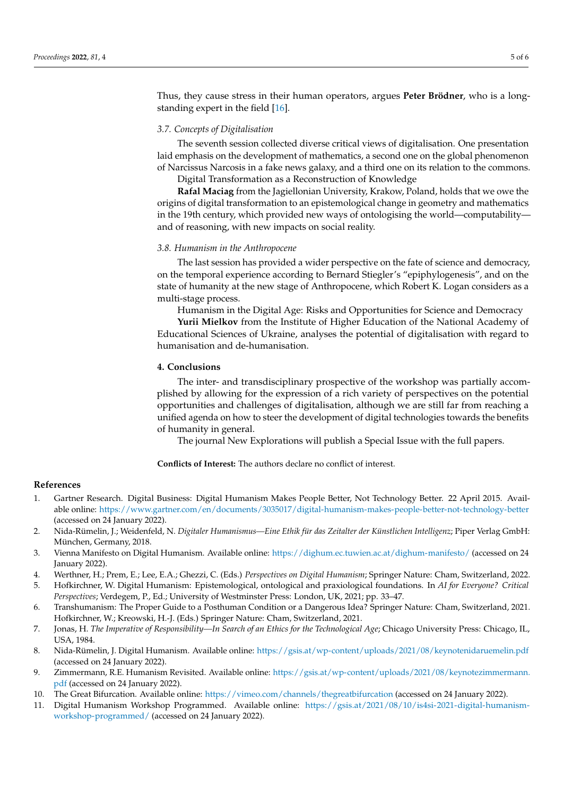Thus, they cause stress in their human operators, argues **Peter Brödner**, who is a longstanding expert in the field [\[16\]](#page-5-4).

## *3.7. Concepts of Digitalisation*

The seventh session collected diverse critical views of digitalisation. One presentation laid emphasis on the development of mathematics, a second one on the global phenomenon of Narcissus Narcosis in a fake news galaxy, and a third one on its relation to the commons. Digital Transformation as a Reconstruction of Knowledge

**Rafal Maciag** from the Jagiellonian University, Krakow, Poland, holds that we owe the origins of digital transformation to an epistemological change in geometry and mathematics in the 19th century, which provided new ways of ontologising the world—computability and of reasoning, with new impacts on social reality.

#### *3.8. Humanism in the Anthropocene*

The last session has provided a wider perspective on the fate of science and democracy, on the temporal experience according to Bernard Stiegler's "epiphylogenesis", and on the state of humanity at the new stage of Anthropocene, which Robert K. Logan considers as a multi-stage process.

Humanism in the Digital Age: Risks and Opportunities for Science and Democracy

**Yurii Mielkov** from the Institute of Higher Education of the National Academy of Educational Sciences of Ukraine, analyses the potential of digitalisation with regard to humanisation and de-humanisation.

## **4. Conclusions**

The inter- and transdisciplinary prospective of the workshop was partially accomplished by allowing for the expression of a rich variety of perspectives on the potential opportunities and challenges of digitalisation, although we are still far from reaching a unified agenda on how to steer the development of digital technologies towards the benefits of humanity in general.

The journal New Explorations will publish a Special Issue with the full papers.

**Conflicts of Interest:** The authors declare no conflict of interest.

## **References**

- <span id="page-4-0"></span>1. Gartner Research. Digital Business: Digital Humanism Makes People Better, Not Technology Better. 22 April 2015. Available online: <https://www.gartner.com/en/documents/3035017/digital-humanism-makes-people-better-not-technology-better> (accessed on 24 January 2022).
- <span id="page-4-1"></span>2. Nida-Rümelin, J.; Weidenfeld, N. *Digitaler Humanismus—Eine Ethik für das Zeitalter der Künstlichen Intelligenz*; Piper Verlag GmbH: München, Germany, 2018.
- <span id="page-4-2"></span>3. Vienna Manifesto on Digital Humanism. Available online: <https://dighum.ec.tuwien.ac.at/dighum-manifesto/> (accessed on 24 January 2022).
- <span id="page-4-3"></span>4. Werthner, H.; Prem, E.; Lee, E.A.; Ghezzi, C. (Eds.) *Perspectives on Digital Humanism*; Springer Nature: Cham, Switzerland, 2022.
- <span id="page-4-4"></span>5. Hofkirchner, W. Digital Humanism: Epistemological, ontological and praxiological foundations. In *AI for Everyone? Critical Perspectives*; Verdegem, P., Ed.; University of Westminster Press: London, UK, 2021; pp. 33–47.
- <span id="page-4-5"></span>6. Transhumanism: The Proper Guide to a Posthuman Condition or a Dangerous Idea? Springer Nature: Cham, Switzerland, 2021. Hofkirchner, W.; Kreowski, H.-J. (Eds.) Springer Nature: Cham, Switzerland, 2021.
- <span id="page-4-6"></span>7. Jonas, H. *The Imperative of Responsibility—In Search of an Ethics for the Technological Age*; Chicago University Press: Chicago, IL, USA, 1984.
- <span id="page-4-7"></span>8. Nida-Rümelin, J. Digital Humanism. Available online: <https://gsis.at/wp-content/uploads/2021/08/keynotenidaruemelin.pdf> (accessed on 24 January 2022).
- <span id="page-4-8"></span>9. Zimmermann, R.E. Humanism Revisited. Available online: [https://gsis.at/wp-content/uploads/2021/08/keynotezimmermann.](https://gsis.at/wp-content/uploads/2021/08/keynotezimmermann.pdf) [pdf](https://gsis.at/wp-content/uploads/2021/08/keynotezimmermann.pdf) (accessed on 24 January 2022).
- <span id="page-4-9"></span>10. The Great Bifurcation. Available online: <https://vimeo.com/channels/thegreatbifurcation> (accessed on 24 January 2022).
- <span id="page-4-10"></span>11. Digital Humanism Workshop Programmed. Available online: [https://gsis.at/2021/08/10/is4si-2021-digital-humanism](https://gsis.at/2021/08/10/is4si-2021-digital-humanism-workshop-programmed/)[workshop-programmed/](https://gsis.at/2021/08/10/is4si-2021-digital-humanism-workshop-programmed/) (accessed on 24 January 2022).